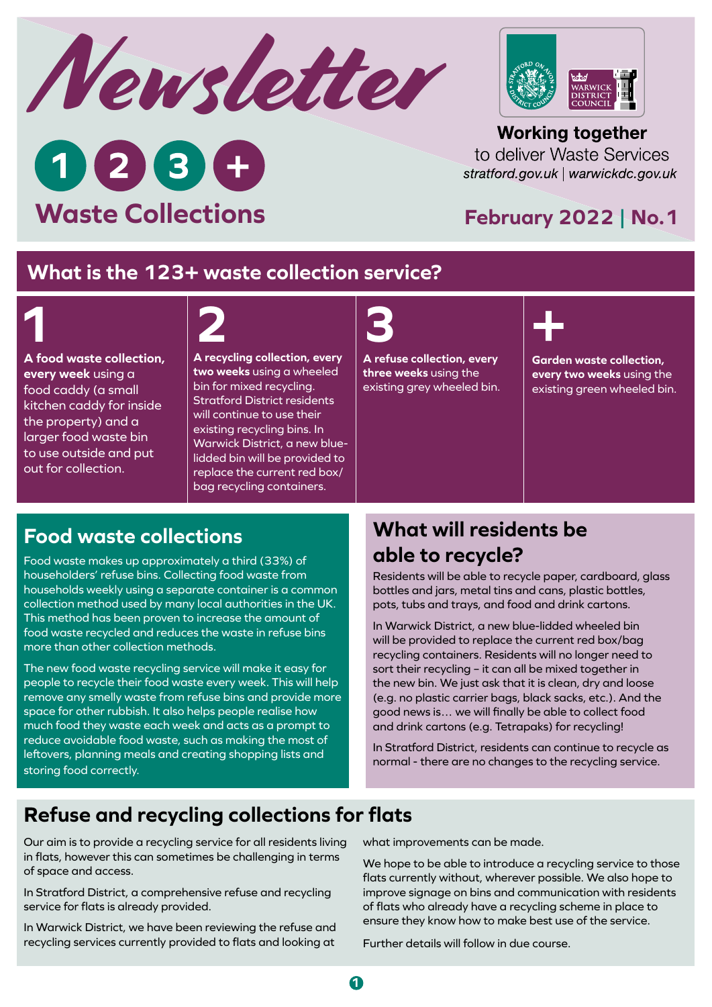



**Working together** to deliver Waste Services stratford.gov.uk | warwickdc.gov.uk

### **February 2022 | No.1**

#### **What is the 123+ waste collection service?**

# **1**

**A food waste collection, every week** using a food caddy (a small kitchen caddy for inside the property) and a larger food waste bin to use outside and put out for collection.

# **2 3 +**

**A recycling collection, every two weeks** using a wheeled bin for mixed recycling. Stratford District residents will continue to use their existing recycling bins. In Warwick District, a new bluelidded bin will be provided to replace the current red box/ bag recycling containers.

**A refuse collection, every three weeks** using the existing grey wheeled bin.



**Garden waste collection, every two weeks** using the existing green wheeled bin.

#### **Food waste collections**

**Waste Collections**

 $028$ 

Food waste makes up approximately a third (33%) of householders' refuse bins. Collecting food waste from households weekly using a separate container is a common collection method used by many local authorities in the UK. This method has been proven to increase the amount of food waste recycled and reduces the waste in refuse bins more than other collection methods.

The new food waste recycling service will make it easy for people to recycle their food waste every week. This will help remove any smelly waste from refuse bins and provide more space for other rubbish. It also helps people realise how much food they waste each week and acts as a prompt to reduce avoidable food waste, such as making the most of leftovers, planning meals and creating shopping lists and storing food correctly.

## **What will residents be able to recycle?**

Residents will be able to recycle paper, cardboard, glass bottles and jars, metal tins and cans, plastic bottles, pots, tubs and trays, and food and drink cartons.

In Warwick District, a new blue-lidded wheeled bin will be provided to replace the current red box/bag recycling containers. Residents will no longer need to sort their recycling – it can all be mixed together in the new bin. We just ask that it is clean, dry and loose (e.g. no plastic carrier bags, black sacks, etc.). And the good news is… we will finally be able to collect food and drink cartons (e.g. Tetrapaks) for recycling!

In Stratford District, residents can continue to recycle as normal - there are no changes to the recycling service.

# **Refuse and recycling collections for flats**

Our aim is to provide a recycling service for all residents living in flats, however this can sometimes be challenging in terms of space and access.

In Stratford District, a comprehensive refuse and recycling service for flats is already provided.

In Warwick District, we have been reviewing the refuse and recycling services currently provided to flats and looking at what improvements can be made.

We hope to be able to introduce a recycling service to those flats currently without, wherever possible. We also hope to improve signage on bins and communication with residents of flats who already have a recycling scheme in place to ensure they know how to make best use of the service.

Further details will follow in due course.